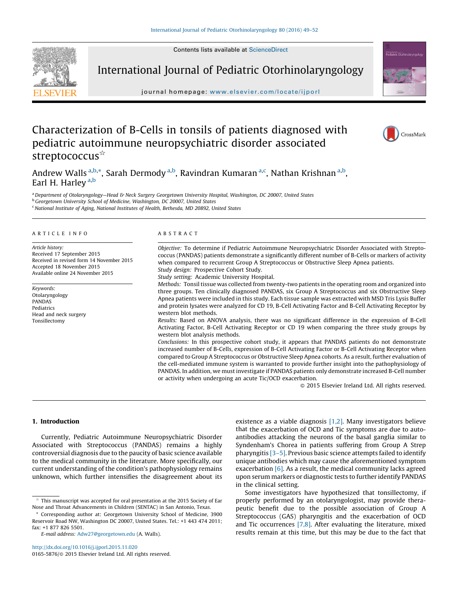Contents lists available at [ScienceDirect](http://www.sciencedirect.com/science/journal/01655876)



International Journal of Pediatric Otorhinolaryngology

journal homepage: www.elsevier.com/locate/ijporl

# Characterization of B-Cells in tonsils of patients diagnosed with pediatric autoimmune neuropsychiatric disorder associated streptococcus<sup>\*</sup>

Andrew Walls <sup>a,b,</sup>\*, Sarah Dermody <sup>a,b</sup>, Ravindran Kumaran <sup>a,c</sup>, Nathan Krishnan <sup>a,b</sup>, Earl H. Harley<sup>a,b</sup>

a Department of Otolaryngology—Head & Neck Surgery Georgetown University Hospital, Washington, DC 20007, United States <sup>b</sup> Georgetown University School of Medicine, Washington, DC 20007, United States <sup>c</sup> National Institute of Aging, National Institutes of Health, Bethesda, MD 20892, United States

#### A R T I C L E I N E O

Article history: Received 17 September 2015 Received in revised form 14 November 2015 Accepted 18 November 2015 Available online 24 November 2015

Keywords: Otolaryngology PANDAS Pediatrics Head and neck surgery Tonsillectomy

#### A B S T R A C T

Objective: To determine if Pediatric Autoimmune Neuropsychiatric Disorder Associated with Streptococcus (PANDAS) patients demonstrate a significantly different number of B-Cells or markers of activity when compared to recurrent Group A Streptococcus or Obstructive Sleep Apnea patients. Study design: Prospective Cohort Study.

Study setting: Academic University Hospital.

Methods: Tonsil tissue was collected from twenty-two patients in the operating room and organized into three groups. Ten clinically diagnosed PANDAS, six Group A Streptococcus and six Obstructive Sleep Apnea patients were included in this study. Each tissue sample was extracted with MSD Tris Lysis Buffer and protein lysates were analyzed for CD 19, B-Cell Activating Factor and B-Cell Activating Receptor by western blot methods.

Results: Based on ANOVA analysis, there was no significant difference in the expression of B-Cell Activating Factor, B-Cell Activating Receptor or CD 19 when comparing the three study groups by western blot analysis methods.

Conclusions: In this prospective cohort study, it appears that PANDAS patients do not demonstrate increased number of B-Cells, expression of B-Cell Activating Factor or B-Cell Activating Receptor when compared to Group A Streptococcus or Obstructive Sleep Apnea cohorts. As a result, further evaluation of the cell-mediated immune system is warranted to provide further insight into the pathophysiology of PANDAS. In addition, we must investigate if PANDAS patients only demonstrate increased B-Cell number or activity when undergoing an acute Tic/OCD exacerbation.

 $\odot$  2015 Elsevier Ireland Ltd. All rights reserved.

international.com/o<br>**Pediatric** Otorhinolaryno

CrossMark

## 1. Introduction

Currently, Pediatric Autoimmune Neuropsychiatric Disorder Associated with Streptococcus (PANDAS) remains a highly controversial diagnosis due to the paucity of basic science available to the medical community in the literature. More specifically, our current understanding of the condition's pathophysiology remains unknown, which further intensifies the disagreement about its

<http://dx.doi.org/10.1016/j.ijporl.2015.11.020> 0165-5876/© 2015 Elsevier Ireland Ltd. All rights reserved. existence as a viable diagnosis [\[1,2\].](#page-3-0) Many investigators believe that the exacerbation of OCD and Tic symptoms are due to autoantibodies attacking the neurons of the basal ganglia similar to Syndenham's Chorea in patients suffering from Group A Strep pharyngitis [\[3–5\]](#page-3-0). Previous basic science attempts failed to identify unique antibodies which may cause the aforementioned symptom exacerbation [\[6\].](#page-3-0) As a result, the medical community lacks agreed upon serum markers or diagnostic tests to further identify PANDAS in the clinical setting.

Some investigators have hypothesized that tonsillectomy, if properly performed by an otolaryngologist, may provide therapeutic benefit due to the possible association of Group A Streptococcus (GAS) pharyngitis and the exacerbation of OCD and Tic occurrences [\[7,8\]](#page-3-0). After evaluating the literature, mixed results remain at this time, but this may be due to the fact that

This manuscript was accepted for oral presentation at the 2015 Society of Ear Nose and Throat Advancements in Children (SENTAC) in San Antonio, Texas.

Corresponding author at: Georgetown University School of Medicine, 3900 Reservoir Road NW, Washington DC 20007, United States. Tel.: +1 443 474 2011; fax: +1 877 826 5501.

E-mail address: [Adw27@georgetown.edu](mailto:Adw27@georgetown.edu) (A. Walls).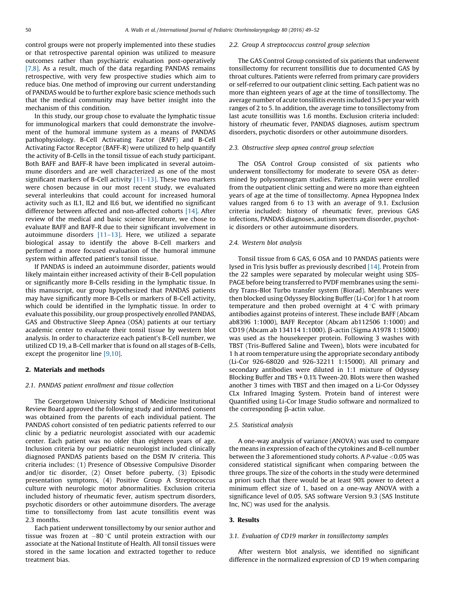control groups were not properly implemented into these studies or that retrospective parental opinion was utilized to measure outcomes rather than psychiatric evaluation post-operatively [\[7,8\]](#page-3-0). As a result, much of the data regarding PANDAS remains retrospective, with very few prospective studies which aim to reduce bias. One method of improving our current understanding of PANDAS would be to further explore basic science methods such that the medical community may have better insight into the mechanism of this condition.

In this study, our group chose to evaluate the lymphatic tissue for immunological markers that could demonstrate the involvement of the humoral immune system as a means of PANDAS pathophysiology. B-Cell Activating Factor (BAFF) and B-Cell Activating Factor Receptor (BAFF-R) were utilized to help quantify the activity of B-Cells in the tonsil tissue of each study participant. Both BAFF and BAFF-R have been implicated in several autoimmune disorders and are well characterized as one of the most significant markers of B-Cell activity [\[11–13\].](#page-3-0) These two markers were chosen because in our most recent study, we evaluated several interleukins that could account for increased humoral activity such as IL1, IL2 and IL6 but, we identified no significant difference between affected and non-affected cohorts [\[14\].](#page-3-0) After review of the medical and basic science literature, we chose to evaluate BAFF and BAFF-R due to their significant involvement in autoimmune disorders [\[11–13\]](#page-3-0). Here, we utilized a separate biological assay to identify the above B-Cell markers and performed a more focused evaluation of the humoral immune system within affected patient's tonsil tissue.

If PANDAS is indeed an autoimmune disorder, patients would likely maintain either increased activity of their B-Cell population or significantly more B-Cells residing in the lymphatic tissue. In this manuscript, our group hypothesized that PANDAS patients may have significantly more B-Cells or markers of B-Cell activity, which could be identified in the lymphatic tissue. In order to evaluate this possibility, our group prospectively enrolled PANDAS, GAS and Obstructive Sleep Apnea (OSA) patients at our tertiary academic center to evaluate their tonsil tissue by western blot analysis. In order to characterize each patient's B-Cell number, we utilized CD 19, a B-Cell marker that is found on all stages of B-Cells, except the progenitor line [\[9,10\]](#page-3-0).

## 2. Materials and methods

## 2.1. PANDAS patient enrollment and tissue collection

The Georgetown University School of Medicine Institutional Review Board approved the following study and informed consent was obtained from the parents of each individual patient. The PANDAS cohort consisted of ten pediatric patients referred to our clinic by a pediatric neurologist associated with our academic center. Each patient was no older than eighteen years of age. Inclusion criteria by our pediatric neurologist included clinically diagnosed PANDAS patients based on the DSM IV criteria. This criteria includes: (1) Presence of Obsessive Compulsive Disorder and/or tic disorder, (2) Onset before puberty, (3) Episodic presentation symptoms, (4) Positive Group A Streptococcus culture with neurologic motor abnormalities. Exclusion criteria included history of rheumatic fever, autism spectrum disorders, psychotic disorders or other autoimmune disorders. The average time to tonsillectomy from last acute tonsillitis event was 2.3 months.

Each patient underwent tonsillectomy by our senior author and tissue was frozen at  $-80$  °C until protein extraction with our associate at the National Institute of Health. All tonsil tissues were stored in the same location and extracted together to reduce treatment bias.

#### 2.2. Group A streptococcus control group selection

The GAS Control Group consisted of six patients that underwent tonsillectomy for recurrent tonsillitis due to documented GAS by throat cultures. Patients were referred from primary care providers or self-referred to our outpatient clinic setting. Each patient was no more than eighteen years of age at the time of tonsillectomy. The average number of acute tonsillitis events included 3.5 per year with ranges of 2 to 5. In addition, the average time to tonsillectomy from last acute tonsillitis was 1.6 months. Exclusion criteria included: history of rheumatic fever, PANDAS diagnoses, autism spectrum disorders, psychotic disorders or other autoimmune disorders.

## 2.3. Obstructive sleep apnea control group selection

The OSA Control Group consisted of six patients who underwent tonsillectomy for moderate to severe OSA as determined by polysomnogram studies. Patients again were enrolled from the outpatient clinic setting and were no more than eighteen years of age at the time of tonsillectomy. Apnea Hypopnea Index values ranged from 6 to 13 with an average of 9.1. Exclusion criteria included: history of rheumatic fever, previous GAS infections, PANDAS diagnoses, autism spectrum disorder, psychotic disorders or other autoimmune disorders.

## 2.4. Western blot analysis

Tonsil tissue from 6 GAS, 6 OSA and 10 PANDAS patients were lysed in Tris lysis buffer as previously described [\[14\].](#page-3-0) Protein from the 22 samples were separated by molecular weight using SDS-PAGE before being transferred to PVDF membranes using the semidry Trans-Blot Turbo transfer system (Biorad). Membranes were then blocked using Odyssey Blocking Buffer (Li-Cor) for 1 h at room temperature and then probed overnight at  $4^{\circ}$ C with primary antibodies against proteins of interest. These include BAFF (Abcam ab8396 1:1000), BAFF Receptor (Abcam ab112506 1:1000) and CD19 (Abcam ab 134114 1:1000). β-actin (Sigma A1978 1:15000) was used as the housekeeper protein. Following 3 washes with TBST (Tris-Buffered Saline and Tween), blots were incubated for 1 h at room temperature using the appropriate secondary antibody (Li-Cor 926-68020 and 926-32211 1:15000). All primary and secondary antibodies were diluted in 1:1 mixture of Odyssey Blocking Buffer and TBS + 0.1% Tween-20. Blots were then washed another 3 times with TBST and then imaged on a Li-Cor Odyssey CLx Infrared Imaging System. Protein band of interest were Quantified using Li-Cor Image Studio software and normalized to the corresponding  $\beta$ -actin value.

## 2.5. Statistical analysis

A one-way analysis of variance (ANOVA) was used to compare the means in expression of each of the cytokines and B-cell number between the 3 aforementioned study cohorts. A P-value <0.05 was considered statistical significant when comparing between the three groups. The size of the cohorts in the study were determined a priori such that there would be at least 90% power to detect a minimum effect size of 1, based on a one-way ANOVA with a significance level of 0.05. SAS software Version 9.3 (SAS Institute Inc, NC) was used for the analysis.

## 3. Results

## 3.1. Evaluation of CD19 marker in tonsillectomy samples

After western blot analysis, we identified no significant difference in the normalized expression of CD 19 when comparing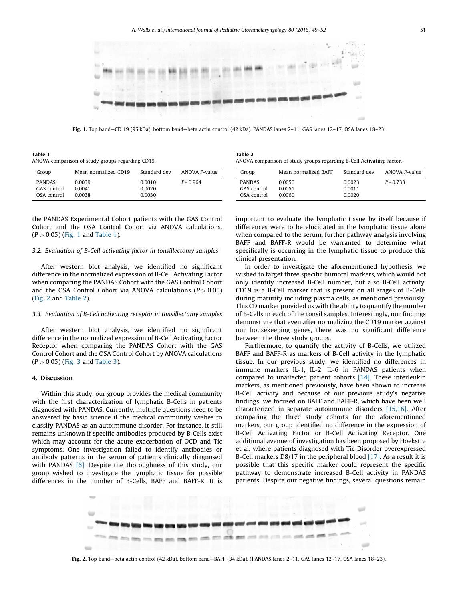

Fig. 1. Top band—CD 19 (95 kDa), bottom band—beta actin control (42 kDa). PANDAS lanes 2–11, GAS lanes 12–17, OSA lanes 18–23.

Table 2

Table 1 ANOVA comparison of study groups regarding CD19.

| Group                                       | Mean normalized CD19       | Standard dev               | ANOVA P-value | Group                                       | Mean normalized BAFF       | Standard dev               | ANOVA P-value |
|---------------------------------------------|----------------------------|----------------------------|---------------|---------------------------------------------|----------------------------|----------------------------|---------------|
| <b>PANDAS</b><br>GAS control<br>OSA control | 0.0039<br>0.0041<br>0.0038 | 0.0010<br>0.0020<br>0.0030 | $P = 0.964$   | <b>PANDAS</b><br>GAS control<br>OSA control | 0.0056<br>0.0051<br>0.0060 | 0.0023<br>0.0011<br>0.0020 | $P = 0.733$   |

the PANDAS Experimental Cohort patients with the GAS Control Cohort and the OSA Control Cohort via ANOVA calculations.  $(P > 0.05)$  (Fig. 1 and Table 1).

## 3.2. Evaluation of B-Cell activating factor in tonsillectomy samples

After western blot analysis, we identified no significant difference in the normalized expression of B-Cell Activating Factor when comparing the PANDAS Cohort with the GAS Control Cohort and the OSA Control Cohort via ANOVA calculations ( $P > 0.05$ ) (Fig. 2 and Table 2).

## 3.3. Evaluation of B-Cell activating receptor in tonsillectomy samples

After western blot analysis, we identified no significant difference in the normalized expression of B-Cell Activating Factor Receptor when comparing the PANDAS Cohort with the GAS Control Cohort and the OSA Control Cohort by ANOVA calculations  $(P > 0.05)$  ([Fig.](#page-3-0) 3 and [Table](#page-3-0) 3).

## 4. Discussion

Within this study, our group provides the medical community with the first characterization of lymphatic B-Cells in patients diagnosed with PANDAS. Currently, multiple questions need to be answered by basic science if the medical community wishes to classify PANDAS as an autoimmune disorder. For instance, it still remains unknown if specific antibodies produced by B-Cells exist which may account for the acute exacerbation of OCD and Tic symptoms. One investigation failed to identify antibodies or antibody patterns in the serum of patients clinically diagnosed with PANDAS [\[6\]](#page-3-0). Despite the thoroughness of this study, our group wished to investigate the lymphatic tissue for possible differences in the number of B-Cells, BAFF and BAFF-R. It is

ANOVA comparison of study groups regarding B-Cell Activating Factor.

important to evaluate the lymphatic tissue by itself because if differences were to be elucidated in the lymphatic tissue alone when compared to the serum, further pathway analysis involving BAFF and BAFF-R would be warranted to determine what specifically is occurring in the lymphatic tissue to produce this clinical presentation.

In order to investigate the aforementioned hypothesis, we wished to target three specific humoral markers, which would not only identify increased B-Cell number, but also B-Cell activity. CD19 is a B-Cell marker that is present on all stages of B-Cells during maturity including plasma cells, as mentioned previously. This CD marker provided us with the ability to quantify the number of B-Cells in each of the tonsil samples. Interestingly, our findings demonstrate that even after normalizing the CD19 marker against our housekeeping genes, there was no significant difference between the three study groups.

Furthermore, to quantify the activity of B-Cells, we utilized BAFF and BAFF-R as markers of B-Cell activity in the lymphatic tissue. In our previous study, we identified no differences in immune markers IL-1, IL-2, IL-6 in PANDAS patients when compared to unaffected patient cohorts [\[14\].](#page-3-0) These interleukin markers, as mentioned previously, have been shown to increase B-Cell activity and because of our previous study's negative findings, we focused on BAFF and BAFF-R, which have been well characterized in separate autoimmune disorders [\[15,16\]](#page-3-0). After comparing the three study cohorts for the aforementioned markers, our group identified no difference in the expression of B-Cell Activating Factor or B-Cell Activating Receptor. One additional avenue of investigation has been proposed by Hoekstra et al. where patients diagnosed with Tic Disorder overexpressed B-Cell markers D8/17 in the peripheral blood [\[17\].](#page-3-0) As a result it is possible that this specific marker could represent the specific pathway to demonstrate increased B-Cell activity in PANDAS patients. Despite our negative findings, several questions remain



Fig. 2. Top band—beta actin control (42 kDa), bottom band—BAFF (34 kDa). (PANDAS lanes 2–11, GAS lanes 12–17, OSA lanes 18–23).